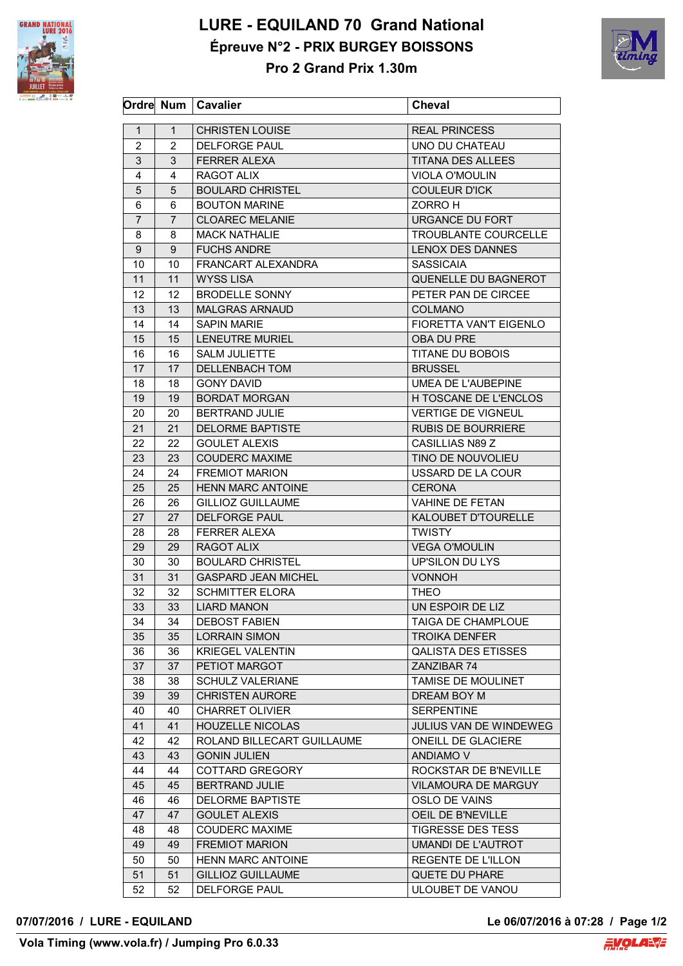

## **LURE - EQUILAND 70 Grand National Épreuve N°2 - PRIX BURGEY BOISSONS**



**Pro 2 Grand Prix 1.30m**

|                |                | Ordre Num   Cavalier       | <b>Cheval</b>                 |
|----------------|----------------|----------------------------|-------------------------------|
|                |                |                            |                               |
| 1              | $\mathbf{1}$   | <b>CHRISTEN LOUISE</b>     | <b>REAL PRINCESS</b>          |
| $\overline{2}$ | $\overline{2}$ | <b>DELFORGE PAUL</b>       | UNO DU CHATEAU                |
| 3              | 3              | <b>FERRER ALEXA</b>        | <b>TITANA DES ALLEES</b>      |
| 4              | 4              | <b>RAGOT ALIX</b>          | <b>VIOLA O'MOULIN</b>         |
| 5              | 5              | <b>BOULARD CHRISTEL</b>    | <b>COULEUR D'ICK</b>          |
| 6              | 6              | <b>BOUTON MARINE</b>       | ZORRO H                       |
| $\overline{7}$ | $\overline{7}$ | <b>CLOAREC MELANIE</b>     | <b>URGANCE DU FORT</b>        |
| 8              | 8              | <b>MACK NATHALIE</b>       | <b>TROUBLANTE COURCELLE</b>   |
| 9              | 9              | <b>FUCHS ANDRE</b>         | <b>LENOX DES DANNES</b>       |
| 10             | 10             | FRANCART AI FXANDRA        | <b>SASSICAIA</b>              |
| 11             | 11             | <b>WYSS LISA</b>           | QUENELLE DU BAGNEROT          |
| 12             | 12             | <b>BRODELLE SONNY</b>      | PETER PAN DE CIRCEE           |
| 13             | 13             | <b>MALGRAS ARNAUD</b>      | <b>COLMANO</b>                |
| 14             | 14             | <b>SAPIN MARIE</b>         | <b>FIORETTA VAN'T EIGENLO</b> |
| 15             | 15             | <b>LENEUTRE MURIEL</b>     | <b>OBA DU PRE</b>             |
| 16             | 16             | <b>SALM JULIETTE</b>       | <b>TITANE DU BOBOIS</b>       |
| 17             | 17             | DELLENBACH TOM             | <b>BRUSSEL</b>                |
| 18             | 18             | <b>GONY DAVID</b>          | UMEA DE L'AUBEPINE            |
| 19             | 19             | <b>BORDAT MORGAN</b>       | H TOSCANE DE L'ENCLOS         |
| 20             | 20             | BERTRAND JULIE             | <b>VERTIGE DE VIGNEUL</b>     |
| 21             | 21             | <b>DELORME BAPTISTE</b>    | <b>RUBIS DE BOURRIERE</b>     |
| 22             | 22             | <b>GOULET ALEXIS</b>       | CASILLIAS N89 Z               |
| 23             | 23             | <b>COUDERC MAXIME</b>      | TINO DE NOUVOLIEU             |
| 24             | 24             | <b>FREMIOT MARION</b>      | USSARD DE LA COUR             |
| 25             | 25             | <b>HENN MARC ANTOINE</b>   | <b>CERONA</b>                 |
| 26             | 26             | <b>GILLIOZ GUILLAUME</b>   | <b>VAHINE DE FETAN</b>        |
| 27             | 27             | <b>DELFORGE PAUL</b>       | KALOUBET D'TOURELLE           |
| 28             | 28             | <b>FERRER ALEXA</b>        | <b>TWISTY</b>                 |
| 29             | 29             | <b>RAGOT ALIX</b>          | <b>VEGA O'MOULIN</b>          |
| 30             | 30             | <b>BOULARD CHRISTEL</b>    | UP'SILON DU LYS               |
| 31             | 31             | <b>GASPARD JEAN MICHEL</b> | <b>VONNOH</b>                 |
| 32             | 32             | <b>SCHMITTER ELORA</b>     | <b>THEO</b>                   |
| 33             | 33             | <b>LIARD MANON</b>         | UN ESPOIR DE LIZ              |
| 34             | 34             | <b>DEBOST FABIEN</b>       | TAIGA DE CHAMPLOUE            |
| 35             | 35             | <b>LORRAIN SIMON</b>       | <b>TROIKA DENFER</b>          |
| 36             | 36             | KRIEGEL VALENTIN           | <b>QALISTA DES ETISSES</b>    |
| 37             | 37             | PETIOT MARGOT              | ZANZIBAR 74                   |
| 38             | 38             | <b>SCHULZ VALERIANE</b>    | TAMISE DE MOULINET            |
| 39             | 39             | <b>CHRISTEN AURORE</b>     | DREAM BOY M                   |
| 40             | 40             | <b>CHARRET OLIVIER</b>     | <b>SERPENTINE</b>             |
| 41             | 41             | <b>HOUZELLE NICOLAS</b>    | JULIUS VAN DE WINDEWEG        |
| 42             | 42             | ROLAND BILLECART GUILLAUME | ONEILL DE GLACIERE            |
| 43             | 43             | <b>GONIN JULIEN</b>        | <b>ANDIAMO V</b>              |
|                |                |                            |                               |
| 44             | 44             | COTTARD GREGORY            | ROCKSTAR DE B'NEVILLE         |
| 45             | 45             | <b>BERTRAND JULIE</b>      | VILAMOURA DE MARGUY           |
| 46             | 46             | <b>DELORME BAPTISTE</b>    | OSLO DE VAINS                 |
| 47             | 47             | <b>GOULET ALEXIS</b>       | OEIL DE B'NEVILLE             |
| 48             | 48             | <b>COUDERC MAXIME</b>      | <b>TIGRESSE DES TESS</b>      |
| 49             | 49             | <b>FREMIOT MARION</b>      | UMANDI DE L'AUTROT            |
| 50             | 50             | <b>HENN MARC ANTOINE</b>   | REGENTE DE L'ILLON            |
| 51             | 51             | <b>GILLIOZ GUILLAUME</b>   | QUETE DU PHARE                |
| 52             | 52             | <b>DELFORGE PAUL</b>       | ULOUBET DE VANOU              |